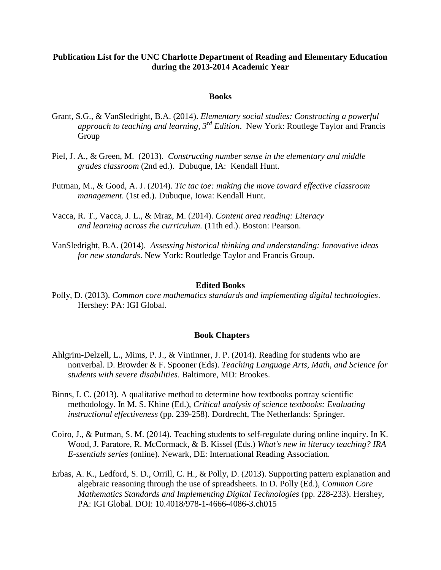# **Publication List for the UNC Charlotte Department of Reading and Elementary Education during the 2013-2014 Academic Year**

### **Books**

- Grant, S.G., & VanSledright, B.A. (2014). *Elementary social studies: Constructing a powerful approach to teaching and learning, 3rd Edition*. New York: Routlege Taylor and Francis Group
- Piel, J. A., & Green, M. (2013). *Constructing number sense in the elementary and middle grades classroom* (2nd ed.). Dubuque, IA: Kendall Hunt.
- Putman, M., & Good, A. J. (2014). *Tic tac toe: making the move toward effective classroom management*. (1st ed.). Dubuque, Iowa: Kendall Hunt.
- Vacca, R. T., Vacca, J. L., & Mraz, M. (2014). *Content area reading: Literacy and learning across the curriculum.* (11th ed.). Boston: Pearson.
- VanSledright, B.A. (2014). *Assessing historical thinking and understanding: Innovative ideas for new standards*. New York: Routledge Taylor and Francis Group.

#### **Edited Books**

Polly, D. (2013). *Common core mathematics standards and implementing digital technologies*. Hershey: PA: IGI Global.

### **Book Chapters**

- Ahlgrim-Delzell, L., Mims, P. J., & Vintinner, J. P. (2014). Reading for students who are nonverbal. D. Browder & F. Spooner (Eds). *Teaching Language Arts, Math, and Science for students with severe disabilities*. Baltimore, MD: Brookes.
- Binns, I. C. (2013). A qualitative method to determine how textbooks portray scientific methodology. In M. S. Khine (Ed.), *Critical analysis of science textbooks: Evaluating instructional effectiveness* (pp. 239-258). Dordrecht, The Netherlands: Springer.
- Coiro, J., & Putman, S. M. (2014). Teaching students to self-regulate during online inquiry. In K. Wood, J. Paratore, R. McCormack, & B. Kissel (Eds.) *What's new in literacy teaching? IRA E-ssentials series* (online)*.* Newark, DE: International Reading Association.
- Erbas, A. K., Ledford, S. D., Orrill, C. H., & Polly, D. (2013). Supporting pattern explanation and algebraic reasoning through the use of spreadsheets. In D. Polly (Ed.), *Common Core Mathematics Standards and Implementing Digital Technologies* (pp. 228-233). Hershey, PA: IGI Global. DOI: 10.4018/978-1-4666-4086-3.ch015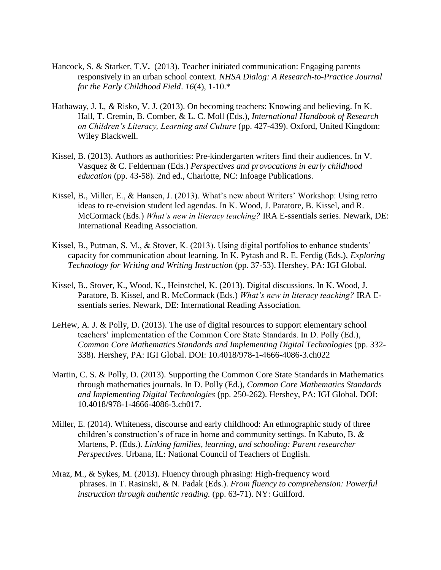- Hancock, S. & Starker, T.V. (2013). Teacher initiated communication: Engaging parents responsively in an urban school context. *NHSA Dialog: A Research-to-Practice Journal for the Early Childhood Field*. *16*(4), 1-10.\*
- Hathaway, J. I**.***, &* Risko, V. J. (2013). On becoming teachers: Knowing and believing. In K. Hall, T. Cremin, B. Comber, & L. C. Moll (Eds.), *International Handbook of Research on Children's Literacy, Learning and Culture* (pp. 427-439). Oxford, United Kingdom: Wiley Blackwell.
- Kissel, B. (2013). Authors as authorities: Pre-kindergarten writers find their audiences. In V. Vasquez & C. Felderman (Eds.) *Perspectives and provocations in early childhood education* (pp. 43-58). 2nd ed., Charlotte, NC: Infoage Publications.
- Kissel, B., Miller, E., & Hansen, J. (2013). What's new about Writers' Workshop: Using retro ideas to re-envision student led agendas. In K. Wood, J. Paratore, B. Kissel, and R. McCormack (Eds.) *What's new in literacy teaching?* IRA E-ssentials series. Newark, DE: International Reading Association.
- Kissel, B., Putman, S. M., & Stover, K. (2013). Using digital portfolios to enhance students' capacity for communication about learning. In K. Pytash and R. E. Ferdig (Eds.), *Exploring Technology for Writing and Writing Instructio*n (pp. 37-53). Hershey, PA: IGI Global.
- Kissel, B., Stover, K., Wood, K., Heinstchel, K. (2013). Digital discussions. In K. Wood, J. Paratore, B. Kissel, and R. McCormack (Eds.) *What's new in literacy teaching?* IRA Essentials series. Newark, DE: International Reading Association.
- LeHew, A. J. & Polly, D. (2013). The use of digital resources to support elementary school teachers' implementation of the Common Core State Standards. In D. Polly (Ed.), *Common Core Mathematics Standards and Implementing Digital Technologies* (pp. 332- 338). Hershey, PA: IGI Global. DOI: 10.4018/978-1-4666-4086-3.ch022
- Martin, C. S. & Polly, D. (2013). Supporting the Common Core State Standards in Mathematics through mathematics journals. In D. Polly (Ed.), *Common Core Mathematics Standards and Implementing Digital Technologies* (pp. 250-262). Hershey, PA: IGI Global. DOI: 10.4018/978-1-4666-4086-3.ch017.
- Miller, E. (2014). Whiteness, discourse and early childhood: An ethnographic study of three children's construction's of race in home and community settings. In Kabuto, B. & Martens, P. (Eds.). *Linking families, learning, and schooling: Parent researcher Perspectives.* Urbana, IL: National Council of Teachers of English.
- Mraz, M., & Sykes, M. (2013). Fluency through phrasing: High-frequency word phrases. In T. Rasinski, & N. Padak (Eds.). *From fluency to comprehension: Powerful instruction through authentic reading.* (pp. 63-71). NY: Guilford.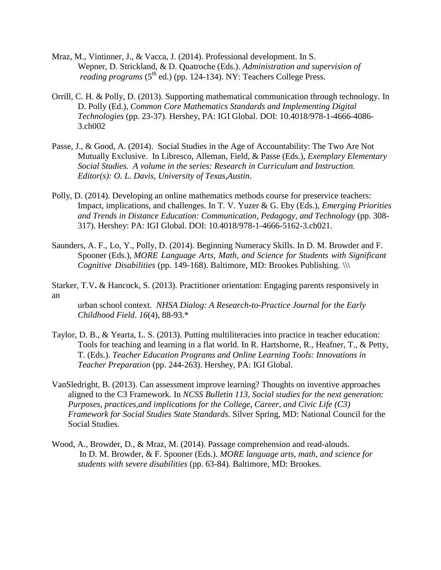- Mraz, M., Vintinner, J., & Vacca, J. (2014). Professional development. In S. Wepner, D. Strickland, & D. Quatroche (Eds.). *Administration and supervision of reading programs* (5<sup>th</sup> ed.) (pp. 124-134). NY: Teachers College Press.
- Orrill, C. H. & Polly, D. (2013). Supporting mathematical communication through technology. In D. Polly (Ed.), *Common Core Mathematics Standards and Implementing Digital Technologies* (pp. 23-37). Hershey, PA: IGI Global. DOI: 10.4018/978-1-4666-4086- 3.ch002
- Passe, J., & Good, A. (2014). Social Studies in the Age of Accountability: The Two Are Not Mutually Exclusive. In Libresco, Alleman, Field, & Passe (Eds.), *Exemplary Elementary Social Studies. A volume in the series: Research in Curriculum and Instruction. Editor(s): O. L. Davis, University of Texas,Austin.*
- Polly, D. (2014). Developing an online mathematics methods course for preservice teachers: Impact, implications, and challenges. In T. V. Yuzer & G. Eby (Eds.), *Emerging Priorities and Trends in Distance Education: Communication, Pedagogy, and Technology* (pp. 308- 317). Hershey: PA: IGI Global. DOI: 10.4018/978-1-4666-5162-3.ch021.
- Saunders, A. F., Lo, Y., Polly, D. (2014). Beginning Numeracy Skills. In D. M. Browder and F. Spooner (Eds.), *MORE Language Arts, Math, and Science for Students with Significant Cognitive Disabilities* (pp. 149-168). Baltimore, MD: Brookes Publishing. \\\
- Starker, T.V**.** & Hancock, S. (2013). Practitioner orientation: Engaging parents responsively in an

urban school context. *NHSA Dialog: A Research-to-Practice Journal for the Early Childhood Field*. *16*(4), 88-93.\*

- Taylor, D. B., & Yearta, L. S. (2013). Putting multiliteracies into practice in teacher education: Tools for teaching and learning in a flat world. In R. Hartshorne, R., Heafner, T., & Petty, T. (Eds.). *Teacher Education Programs and Online Learning Tools: Innovations in Teacher Preparation* (pp. 244-263). Hershey, PA: IGI Global.
- VanSledright, B. (2013). Can assessment improve learning? Thoughts on inventive approaches aligned to the C3 Framework. In *NCSS Bulletin 113, Social studies for the next generation: Purposes, practices,and implications for the College, Career, and Civic Life (C3) Framework for Social Studies State Standards*. Silver Spring, MD: National Council for the Social Studies.
- Wood, A., Browder, D., & Mraz, M. (2014). Passage comprehension and read-alouds. In D. M. Browder, & F. Spooner (Eds.). *MORE language arts, math, and science for students with severe disabilities* (pp. 63-84)*.* Baltimore, MD: Brookes.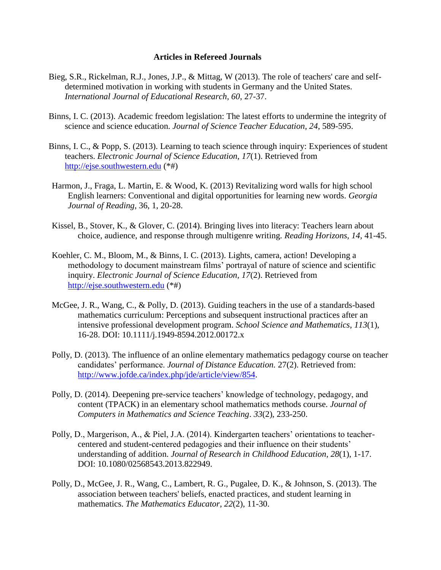## **Articles in Refereed Journals**

- Bieg, S.R., Rickelman, R.J., Jones, J.P., & Mittag, W (2013). The role of teachers' care and selfdetermined motivation in working with students in Germany and the United States. *International Journal of Educational Research, 60*, 27-37.
- Binns, I. C. (2013). Academic freedom legislation: The latest efforts to undermine the integrity of science and science education. *Journal of Science Teacher Education, 24*, 589-595.
- Binns, I. C., & Popp, S. (2013). Learning to teach science through inquiry: Experiences of student teachers. *Electronic Journal of Science Education, 17*(1). Retrieved from [http://ejse.southwestern.edu](http://ejse.southwestern.edu/) (\*#)
- Harmon, J., Fraga, L. Martin, E. & Wood, K. (2013) Revitalizing word walls for high school English learners: Conventional and digital opportunities for learning new words. *Georgia Journal of Reading*, 36, 1, 20-28.
- Kissel, B., Stover, K., & Glover, C. (2014). Bringing lives into literacy: Teachers learn about choice, audience, and response through multigenre writing. *Reading Horizons, 14,* 41-45.
- Koehler, C. M., Bloom, M., & Binns, I. C. (2013). Lights, camera, action! Developing a methodology to document mainstream films' portrayal of nature of science and scientific inquiry. *Electronic Journal of Science Education, 17*(2). Retrieved from [http://ejse.southwestern.edu](http://ejse.southwestern.edu/) (\*#)
- McGee, J. R., Wang, C., & Polly, D. (2013). Guiding teachers in the use of a standards-based mathematics curriculum: Perceptions and subsequent instructional practices after an intensive professional development program. *School Science and Mathematics*, *113*(1), 16-28. DOI: 10.1111/j.1949-8594.2012.00172.x
- Polly, D. (2013). The influence of an online elementary mathematics pedagogy course on teacher candidates' performance. *Journal of Distance Education.* 27(2). Retrieved from: [http://www.jofde.ca/index.php/jde/article/view/854.](http://www.jofde.ca/index.php/jde/article/view/854)
- Polly, D. (2014). Deepening pre-service teachers' knowledge of technology, pedagogy, and content (TPACK) in an elementary school mathematics methods course. *Journal of Computers in Mathematics and Science Teaching*. *33*(2), 233-250.
- Polly, D., Margerison, A., & Piel, J.A. (2014). Kindergarten teachers' orientations to teachercentered and student-centered pedagogies and their influence on their students' understanding of addition. *Journal of Research in Childhood Education*, *28*(1), 1-17. DOI: 10.1080/02568543.2013.822949.
- Polly, D., McGee, J. R., Wang, C., Lambert, R. G., Pugalee, D. K., & Johnson, S. (2013). The association between teachers' beliefs, enacted practices, and student learning in mathematics. *The Mathematics Educator*, *22*(2), 11-30.